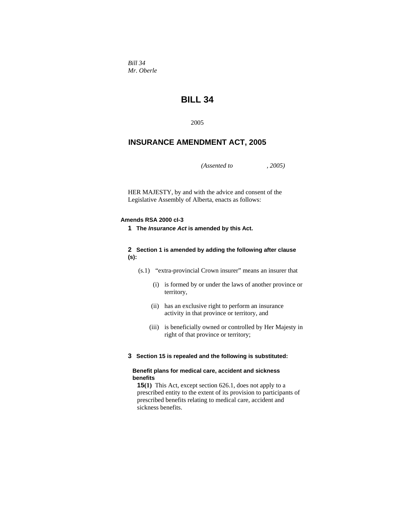*Bill 34 Mr. Oberle* 

# **BILL 34**

2005

## **INSURANCE AMENDMENT ACT, 2005**

*(Assented to , 2005)* 

HER MAJESTY, by and with the advice and consent of the Legislative Assembly of Alberta, enacts as follows:

#### **Amends RSA 2000 cI-3**

**1 The** *Insurance Act* **is amended by this Act.**

#### **2 Section 1 is amended by adding the following after clause (s):**

- (s.1) "extra-provincial Crown insurer" means an insurer that
	- (i) is formed by or under the laws of another province or territory,
	- (ii) has an exclusive right to perform an insurance activity in that province or territory, and
	- (iii) is beneficially owned or controlled by Her Majesty in right of that province or territory;

#### **3 Section 15 is repealed and the following is substituted:**

#### **Benefit plans for medical care, accident and sickness benefits**

**15(1)** This Act, except section 626.1, does not apply to a prescribed entity to the extent of its provision to participants of prescribed benefits relating to medical care, accident and sickness benefits.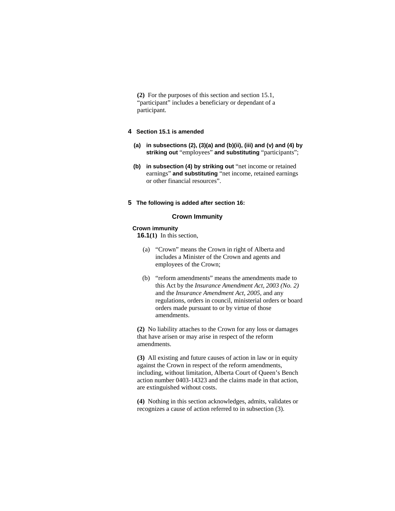**(2)** For the purposes of this section and section 15.1, "participant" includes a beneficiary or dependant of a participant.

## **4 Section 15.1 is amended**

- **(a) in subsections (2), (3)(a) and (b)(ii), (iii) and (v) and (4) by striking out** "employees" **and substituting** "participants";
- **(b) in subsection (4) by striking out** "net income or retained earnings" **and substituting** "net income, retained earnings or other financial resources".
- **5 The following is added after section 16:**

#### **Crown Immunity**

#### **Crown immunity**

**16.1(1)** In this section,

- (a) "Crown" means the Crown in right of Alberta and includes a Minister of the Crown and agents and employees of the Crown;
- (b) "reform amendments" means the amendments made to this Act by the *Insurance Amendment Act, 2003 (No. 2)* and the *Insurance Amendment Act, 2005*, and any regulations, orders in council, ministerial orders or board orders made pursuant to or by virtue of those amendments.

**(2)** No liability attaches to the Crown for any loss or damages that have arisen or may arise in respect of the reform amendments.

**(3)** All existing and future causes of action in law or in equity against the Crown in respect of the reform amendments, including, without limitation, Alberta Court of Queen's Bench action number 0403-14323 and the claims made in that action, are extinguished without costs.

**(4)** Nothing in this section acknowledges, admits, validates or recognizes a cause of action referred to in subsection (3).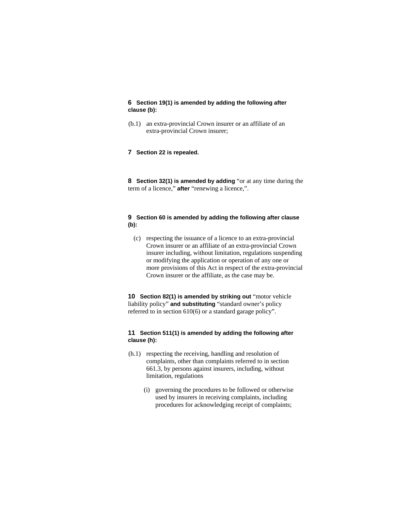**6 Section 19(1) is amended by adding the following after clause (b):**

- (b.1) an extra-provincial Crown insurer or an affiliate of an extra-provincial Crown insurer;
- **7 Section 22 is repealed.**

**8 Section 32(1) is amended by adding** "or at any time during the term of a licence," **after** "renewing a licence,".

#### **9 Section 60 is amended by adding the following after clause (b):**

 (c) respecting the issuance of a licence to an extra-provincial Crown insurer or an affiliate of an extra-provincial Crown insurer including, without limitation, regulations suspending or modifying the application or operation of any one or more provisions of this Act in respect of the extra-provincial Crown insurer or the affiliate, as the case may be.

**10 Section 82(1) is amended by striking out** "motor vehicle liability policy" **and substituting** "standard owner's policy referred to in section 610(6) or a standard garage policy".

#### **11 Section 511(1) is amended by adding the following after clause (h):**

- (h.1) respecting the receiving, handling and resolution of complaints, other than complaints referred to in section 661.3, by persons against insurers, including, without limitation, regulations
	- (i) governing the procedures to be followed or otherwise used by insurers in receiving complaints, including procedures for acknowledging receipt of complaints;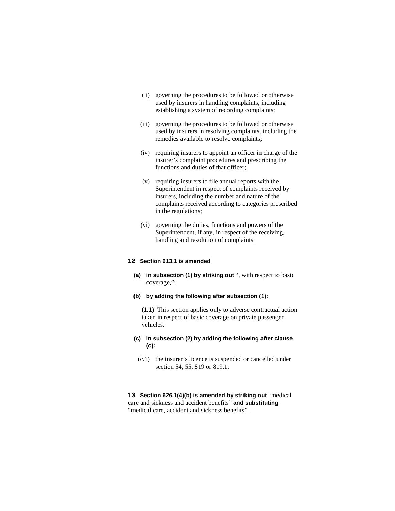- (ii) governing the procedures to be followed or otherwise used by insurers in handling complaints, including establishing a system of recording complaints;
- (iii) governing the procedures to be followed or otherwise used by insurers in resolving complaints, including the remedies available to resolve complaints;
- (iv) requiring insurers to appoint an officer in charge of the insurer's complaint procedures and prescribing the functions and duties of that officer;
- (v) requiring insurers to file annual reports with the Superintendent in respect of complaints received by insurers, including the number and nature of the complaints received according to categories prescribed in the regulations;
- (vi) governing the duties, functions and powers of the Superintendent, if any, in respect of the receiving, handling and resolution of complaints;

#### **12 Section 613.1 is amended**

- **(a) in subsection (1) by striking out** ", with respect to basic coverage,";
- **(b) by adding the following after subsection (1):**

**(1.1)** This section applies only to adverse contractual action taken in respect of basic coverage on private passenger vehicles.

- **(c) in subsection (2) by adding the following after clause (c):** 
	- (c.1) the insurer's licence is suspended or cancelled under section 54, 55, 819 or 819.1;

**13 Section 626.1(4)(b) is amended by striking out** "medical care and sickness and accident benefits" **and substituting**  "medical care, accident and sickness benefits".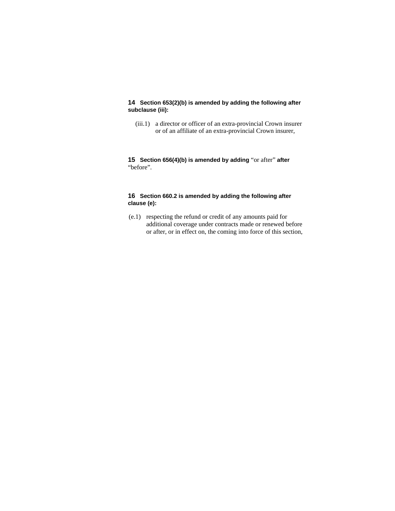## **14 Section 653(2)(b) is amended by adding the following after subclause (iii):**

 (iii.1) a director or officer of an extra-provincial Crown insurer or of an affiliate of an extra-provincial Crown insurer,

**15 Section 656(4)(b) is amended by adding** "or after" **after**  "before".

## **16 Section 660.2 is amended by adding the following after clause (e):**

 (e.1) respecting the refund or credit of any amounts paid for additional coverage under contracts made or renewed before or after, or in effect on, the coming into force of this section,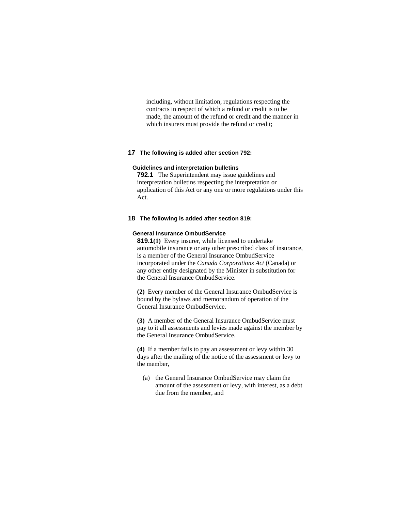including, without limitation, regulations respecting the contracts in respect of which a refund or credit is to be made, the amount of the refund or credit and the manner in which insurers must provide the refund or credit;

#### **17 The following is added after section 792:**

#### **Guidelines and interpretation bulletins**

**792.1** The Superintendent may issue guidelines and interpretation bulletins respecting the interpretation or application of this Act or any one or more regulations under this Act.

#### **18 The following is added after section 819:**

#### **General Insurance OmbudService**

**819.1(1)** Every insurer, while licensed to undertake automobile insurance or any other prescribed class of insurance, is a member of the General Insurance OmbudService incorporated under the *Canada Corporations Act* (Canada) or any other entity designated by the Minister in substitution for the General Insurance OmbudService.

**(2)** Every member of the General Insurance OmbudService is bound by the bylaws and memorandum of operation of the General Insurance OmbudService.

**(3)** A member of the General Insurance OmbudService must pay to it all assessments and levies made against the member by the General Insurance OmbudService.

**(4)** If a member fails to pay an assessment or levy within 30 days after the mailing of the notice of the assessment or levy to the member,

 (a) the General Insurance OmbudService may claim the amount of the assessment or levy, with interest, as a debt due from the member, and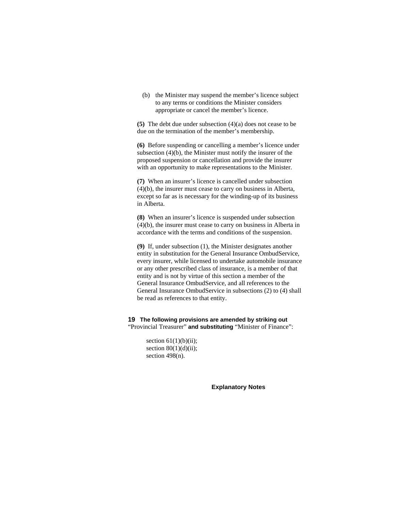(b) the Minister may suspend the member's licence subject to any terms or conditions the Minister considers appropriate or cancel the member's licence.

**(5)** The debt due under subsection (4)(a) does not cease to be due on the termination of the member's membership.

**(6)** Before suspending or cancelling a member's licence under subsection (4)(b), the Minister must notify the insurer of the proposed suspension or cancellation and provide the insurer with an opportunity to make representations to the Minister.

**(7)** When an insurer's licence is cancelled under subsection (4)(b), the insurer must cease to carry on business in Alberta, except so far as is necessary for the winding-up of its business in Alberta.

**(8)** When an insurer's licence is suspended under subsection (4)(b), the insurer must cease to carry on business in Alberta in accordance with the terms and conditions of the suspension.

**(9)** If, under subsection (1), the Minister designates another entity in substitution for the General Insurance OmbudService, every insurer, while licensed to undertake automobile insurance or any other prescribed class of insurance, is a member of that entity and is not by virtue of this section a member of the General Insurance OmbudService, and all references to the General Insurance OmbudService in subsections (2) to (4) shall be read as references to that entity.

## **19 The following provisions are amended by striking out**  "Provincial Treasurer" **and substituting** "Minister of Finance":

section  $61(1)(b)(ii)$ ; section  $80(1)(d)(ii)$ ; section 498(n).

**Explanatory Notes**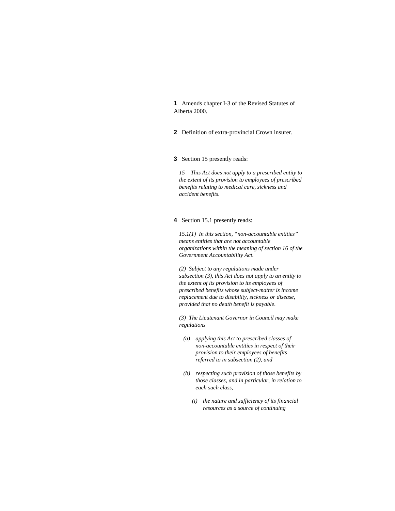**1** Amends chapter I-3 of the Revised Statutes of Alberta 2000.

**2** Definition of extra-provincial Crown insurer.

**3** Section 15 presently reads:

*15 This Act does not apply to a prescribed entity to the extent of its provision to employees of prescribed benefits relating to medical care, sickness and accident benefits.* 

#### **4** Section 15.1 presently reads:

*15.1(1) In this section, "non-accountable entities" means entities that are not accountable organizations within the meaning of section 16 of the Government Accountability Act.* 

*(2) Subject to any regulations made under subsection (3), this Act does not apply to an entity to the extent of its provision to its employees of prescribed benefits whose subject-matter is income replacement due to disability, sickness or disease, provided that no death benefit is payable.* 

*(3) The Lieutenant Governor in Council may make regulations* 

- *(a) applying this Act to prescribed classes of non-accountable entities in respect of their provision to their employees of benefits referred to in subsection (2), and*
- *(b) respecting such provision of those benefits by those classes, and in particular, in relation to each such class,* 
	- *(i) the nature and sufficiency of its financial resources as a source of continuing*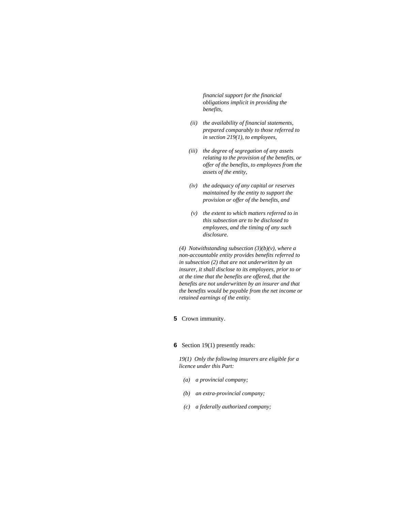*financial support for the financial obligations implicit in providing the benefits,* 

- *(ii) the availability of financial statements, prepared comparably to those referred to in section 219(1), to employees,*
- *(iii) the degree of segregation of any assets relating to the provision of the benefits, or offer of the benefits, to employees from the assets of the entity,*
- *(iv) the adequacy of any capital or reserves maintained by the entity to support the provision or offer of the benefits, and*
- *(v) the extent to which matters referred to in this subsection are to be disclosed to employees, and the timing of any such disclosure.*

*(4) Notwithstanding subsection (3)(b)(v), where a non-accountable entity provides benefits referred to in subsection (2) that are not underwritten by an insurer, it shall disclose to its employees, prior to or at the time that the benefits are offered, that the benefits are not underwritten by an insurer and that the benefits would be payable from the net income or retained earnings of the entity.* 

**5** Crown immunity.

#### **6** Section 19(1) presently reads:

*19(1) Only the following insurers are eligible for a licence under this Part:* 

- *(a) a provincial company;*
- *(b) an extra-provincial company;*
- *(c) a federally authorized company;*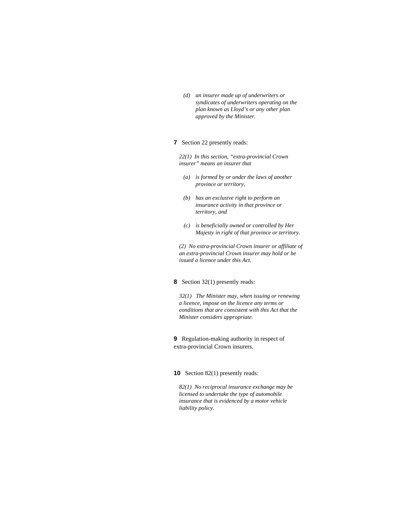*(d) an insurer made up of underwriters or syndicates of underwriters operating on the plan known as Lloyd's or any other plan approved by the Minister.* 

## **7** Section 22 presently reads:

*22(1) In this section, "extra-provincial Crown insurer" means an insurer that* 

- *(a) is formed by or under the laws of another province or territory,*
- *(b) has an exclusive right to perform an insurance activity in that province or territory, and*
- *(c) is beneficially owned or controlled by Her Majesty in right of that province or territory.*

*(2) No extra-provincial Crown insurer or affiliate of an extra-provincial Crown insurer may hold or be issued a licence under this Act.* 

#### **8** Section 32(1) presently reads:

*32(1) The Minister may, when issuing or renewing a licence, impose on the licence any terms or conditions that are consistent with this Act that the Minister considers appropriate.* 

**9** Regulation-making authority in respect of extra-provincial Crown insurers.

**10** Section 82(1) presently reads:

*82(1) No reciprocal insurance exchange may be licensed to undertake the type of automobile insurance that is evidenced by a motor vehicle liability policy.*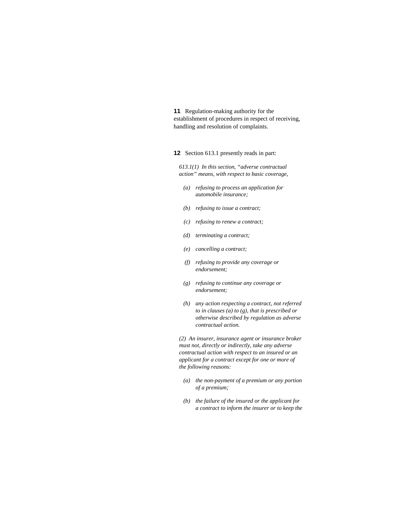**11** Regulation-making authority for the establishment of procedures in respect of receiving, handling and resolution of complaints.

**12** Section 613.1 presently reads in part:

*613.1(1) In this section, "adverse contractual action" means, with respect to basic coverage,* 

- *(a) refusing to process an application for automobile insurance;*
- *(b) refusing to issue a contract;*
- *(c) refusing to renew a contract;*
- *(d) terminating a contract;*
- *(e) cancelling a contract;*
- *(f) refusing to provide any coverage or endorsement;*
- *(g) refusing to continue any coverage or endorsement;*
- *(h) any action respecting a contract, not referred to in clauses (a) to (g), that is prescribed or otherwise described by regulation as adverse contractual action.*

*(2) An insurer, insurance agent or insurance broker must not, directly or indirectly, take any adverse contractual action with respect to an insured or an applicant for a contract except for one or more of the following reasons:* 

- *(a) the non-payment of a premium or any portion of a premium;*
- *(b) the failure of the insured or the applicant for a contract to inform the insurer or to keep the*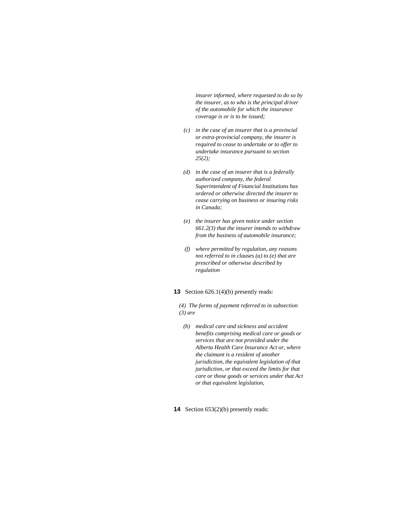*insurer informed, where requested to do so by the insurer, as to who is the principal driver of the automobile for which the insurance coverage is or is to be issued;* 

- *(c) in the case of an insurer that is a provincial or extra-provincial company, the insurer is required to cease to undertake or to offer to undertake insurance pursuant to section 25(2);*
- *(d) in the case of an insurer that is a federally authorized company, the federal Superintendent of Financial Institutions has ordered or otherwise directed the insurer to cease carrying on business or insuring risks in Canada;*
- *(e) the insurer has given notice under section 661.2(3) that the insurer intends to withdraw from the business of automobile insurance;*
- *(f) where permitted by regulation, any reasons not referred to in clauses (a) to (e) that are prescribed or otherwise described by regulation*

## **13** Section 626.1(4)(b) presently reads:

*(4) The forms of payment referred to in subsection (3) are* 

- *(b) medical care and sickness and accident benefits comprising medical care or goods or services that are not provided under the Alberta Health Care Insurance Act or, where the claimant is a resident of another jurisdiction, the equivalent legislation of that jurisdiction, or that exceed the limits for that care or those goods or services under that Act or that equivalent legislation,*
- **14** Section 653(2)(b) presently reads: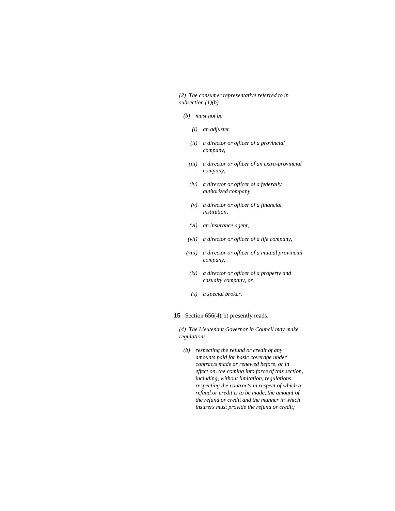*(2) The consumer representative referred to in subsection (1)(b)* 

- *(b) must not be* 
	- *(i) an adjuster,*
	- *(ii) a director or officer of a provincial company,*
	- *(iii) a director or officer of an extra-provincial company,*
	- *(iv) a director or officer of a federally authorized company,*
	- *(v) a director or officer of a financial institution,*
	- *(vi) an insurance agent,*
	- *(vii) a director or officer of a life company,*
- *(viii) a director or officer of a mutual provincial company,*
- *(ix) a director or officer of a property and casualty company, or*
- *(x) a special broker.*

## **15** Section 656(4)(b) presently reads:

*(4) The Lieutenant Governor in Council may make regulations* 

 *(b) respecting the refund or credit of any amounts paid for basic coverage under contracts made or renewed before, or in effect on, the coming into force of this section, including, without limitation, regulations respecting the contracts in respect of which a refund or credit is to be made, the amount of the refund or credit and the manner in which insurers must provide the refund or credit;*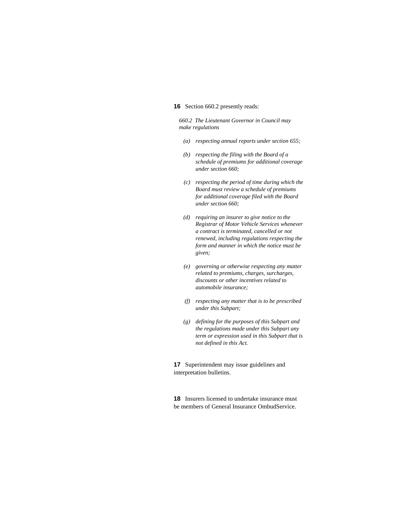## **16** Section 660.2 presently reads:

*660.2 The Lieutenant Governor in Council may make regulations* 

- *(a) respecting annual reports under section 655;*
- *(b) respecting the filing with the Board of a schedule of premiums for additional coverage under section 660;*
- *(c) respecting the period of time during which the Board must review a schedule of premiums for additional coverage filed with the Board under section 660;*
- *(d) requiring an insurer to give notice to the Registrar of Motor Vehicle Services whenever a contract is terminated, cancelled or not renewed, including regulations respecting the form and manner in which the notice must be given;*
- *(e) governing or otherwise respecting any matter related to premiums, charges, surcharges, discounts or other incentives related to automobile insurance;*
- *(f) respecting any matter that is to be prescribed under this Subpart;*
- *(g) defining for the purposes of this Subpart and the regulations made under this Subpart any term or expression used in this Subpart that is not defined in this Act.*

**17** Superintendent may issue guidelines and interpretation bulletins.

**18** Insurers licensed to undertake insurance must be members of General Insurance OmbudService.